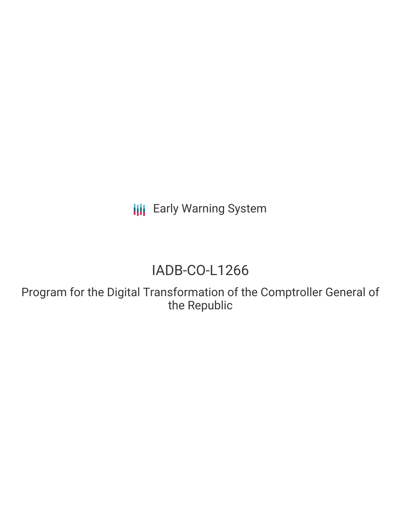**III** Early Warning System

# IADB-CO-L1266

Program for the Digital Transformation of the Comptroller General of the Republic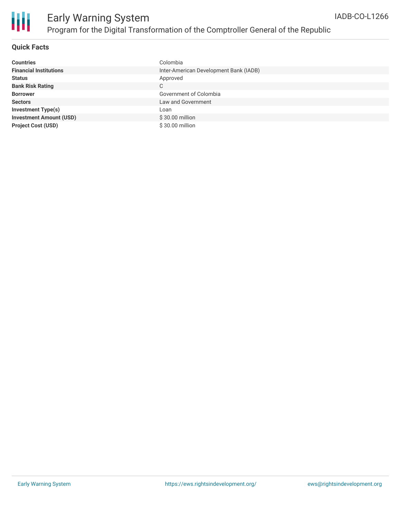

#### **Quick Facts**

| <b>Countries</b>               | Colombia                               |
|--------------------------------|----------------------------------------|
| <b>Financial Institutions</b>  | Inter-American Development Bank (IADB) |
| <b>Status</b>                  | Approved                               |
| <b>Bank Risk Rating</b>        | C                                      |
| <b>Borrower</b>                | Government of Colombia                 |
| <b>Sectors</b>                 | Law and Government                     |
| <b>Investment Type(s)</b>      | Loan                                   |
| <b>Investment Amount (USD)</b> | \$30.00 million                        |
| <b>Project Cost (USD)</b>      | \$30.00 million                        |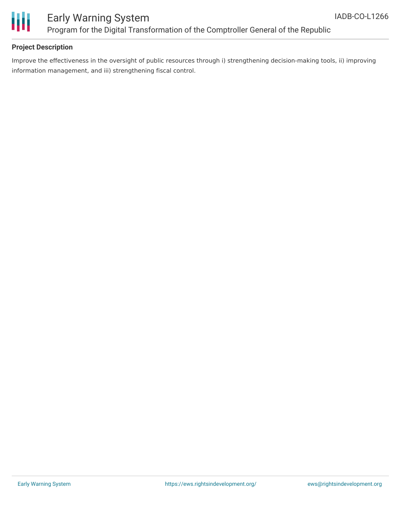

### Early Warning System Program for the Digital Transformation of the Comptroller General of the Republic

#### **Project Description**

Improve the effectiveness in the oversight of public resources through i) strengthening decision-making tools, ii) improving information management, and iii) strengthening fiscal control.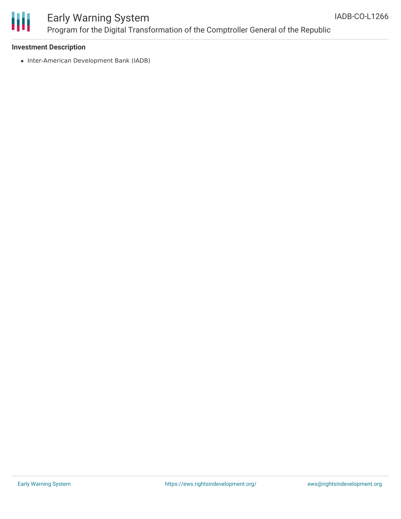

## Early Warning System Program for the Digital Transformation of the Comptroller General of the Republic

#### **Investment Description**

• Inter-American Development Bank (IADB)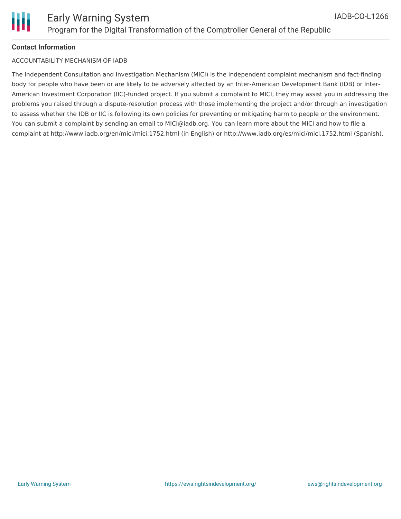

#### **Contact Information**

#### ACCOUNTABILITY MECHANISM OF IADB

The Independent Consultation and Investigation Mechanism (MICI) is the independent complaint mechanism and fact-finding body for people who have been or are likely to be adversely affected by an Inter-American Development Bank (IDB) or Inter-American Investment Corporation (IIC)-funded project. If you submit a complaint to MICI, they may assist you in addressing the problems you raised through a dispute-resolution process with those implementing the project and/or through an investigation to assess whether the IDB or IIC is following its own policies for preventing or mitigating harm to people or the environment. You can submit a complaint by sending an email to MICI@iadb.org. You can learn more about the MICI and how to file a complaint at http://www.iadb.org/en/mici/mici,1752.html (in English) or http://www.iadb.org/es/mici/mici,1752.html (Spanish).